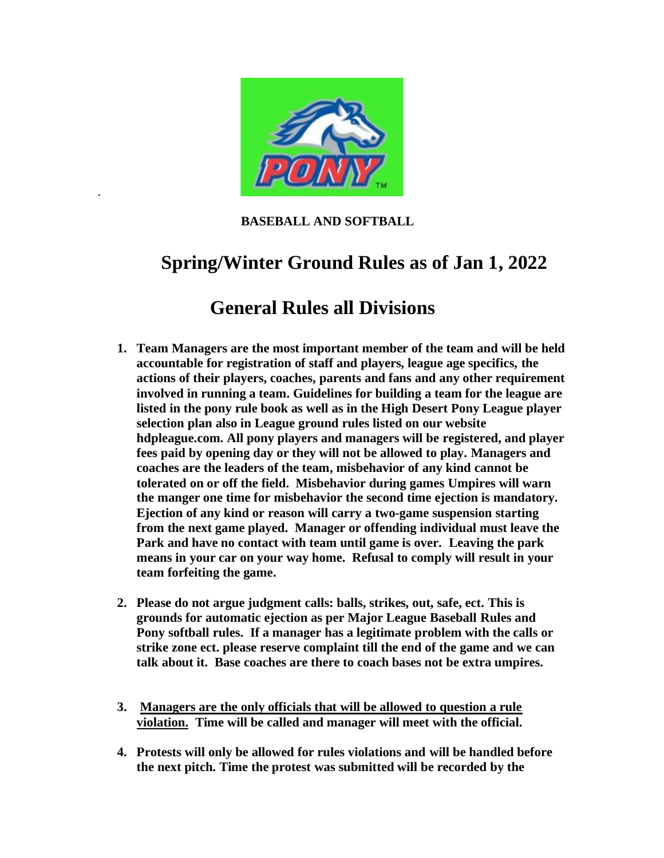

.

 **BASEBALL AND SOFTBALL**

# **Spring/Winter Ground Rules as of Jan 1, 2022**

# **General Rules all Divisions**

- **1. Team Managers are the most important member of the team and will be held accountable for registration of staff and players, league age specifics, the actions of their players, coaches, parents and fans and any other requirement involved in running a team. Guidelines for building a team for the league are listed in the pony rule book as well as in the High Desert Pony League player selection plan also in League ground rules listed on our website hdpleague.com. All pony players and managers will be registered, and player fees paid by opening day or they will not be allowed to play. Managers and coaches are the leaders of the team, misbehavior of any kind cannot be tolerated on or off the field. Misbehavior during games Umpires will warn the manger one time for misbehavior the second time ejection is mandatory. Ejection of any kind or reason will carry a two-game suspension starting from the next game played. Manager or offending individual must leave the Park and have no contact with team until game is over. Leaving the park means in your car on your way home. Refusal to comply will result in your team forfeiting the game.**
- **2. Please do not argue judgment calls: balls, strikes, out, safe, ect. This is grounds for automatic ejection as per Major League Baseball Rules and Pony softball rules. If a manager has a legitimate problem with the calls or strike zone ect. please reserve complaint till the end of the game and we can talk about it. Base coaches are there to coach bases not be extra umpires.**
- **3. Managers are the only officials that will be allowed to question a rule violation. Time will be called and manager will meet with the official.**
- **4. Protests will only be allowed for rules violations and will be handled before the next pitch. Time the protest was submitted will be recorded by the**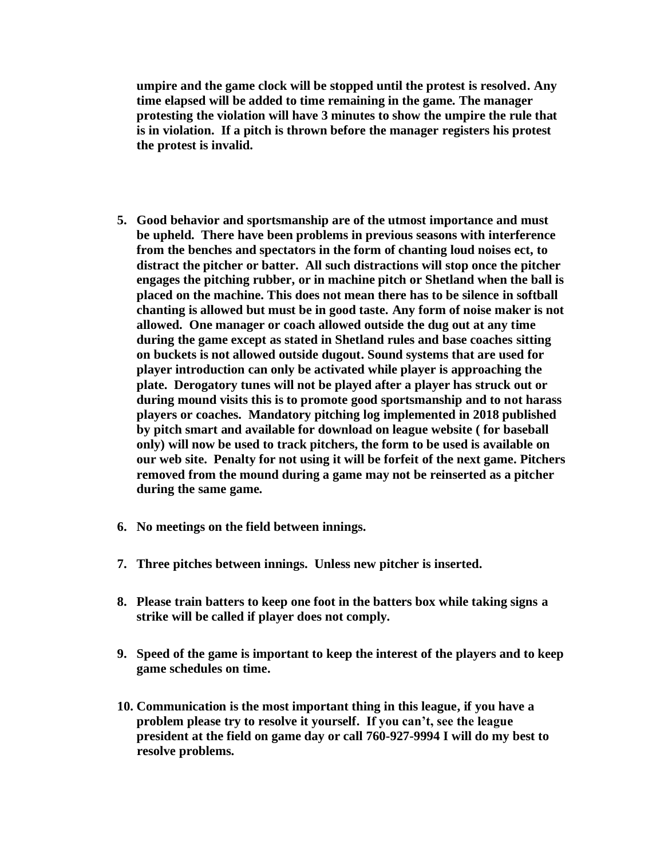**umpire and the game clock will be stopped until the protest is resolved. Any time elapsed will be added to time remaining in the game. The manager protesting the violation will have 3 minutes to show the umpire the rule that is in violation. If a pitch is thrown before the manager registers his protest the protest is invalid.**

- **5. Good behavior and sportsmanship are of the utmost importance and must be upheld. There have been problems in previous seasons with interference from the benches and spectators in the form of chanting loud noises ect, to distract the pitcher or batter. All such distractions will stop once the pitcher engages the pitching rubber, or in machine pitch or Shetland when the ball is placed on the machine. This does not mean there has to be silence in softball chanting is allowed but must be in good taste. Any form of noise maker is not allowed. One manager or coach allowed outside the dug out at any time during the game except as stated in Shetland rules and base coaches sitting on buckets is not allowed outside dugout. Sound systems that are used for player introduction can only be activated while player is approaching the plate. Derogatory tunes will not be played after a player has struck out or during mound visits this is to promote good sportsmanship and to not harass players or coaches. Mandatory pitching log implemented in 2018 published by pitch smart and available for download on league website ( for baseball only) will now be used to track pitchers, the form to be used is available on our web site. Penalty for not using it will be forfeit of the next game. Pitchers removed from the mound during a game may not be reinserted as a pitcher during the same game.**
- **6. No meetings on the field between innings.**
- **7. Three pitches between innings. Unless new pitcher is inserted.**
- **8. Please train batters to keep one foot in the batters box while taking signs a strike will be called if player does not comply.**
- **9. Speed of the game is important to keep the interest of the players and to keep game schedules on time.**
- **10. Communication is the most important thing in this league, if you have a problem please try to resolve it yourself. If you can't, see the league president at the field on game day or call 760-927-9994 I will do my best to resolve problems.**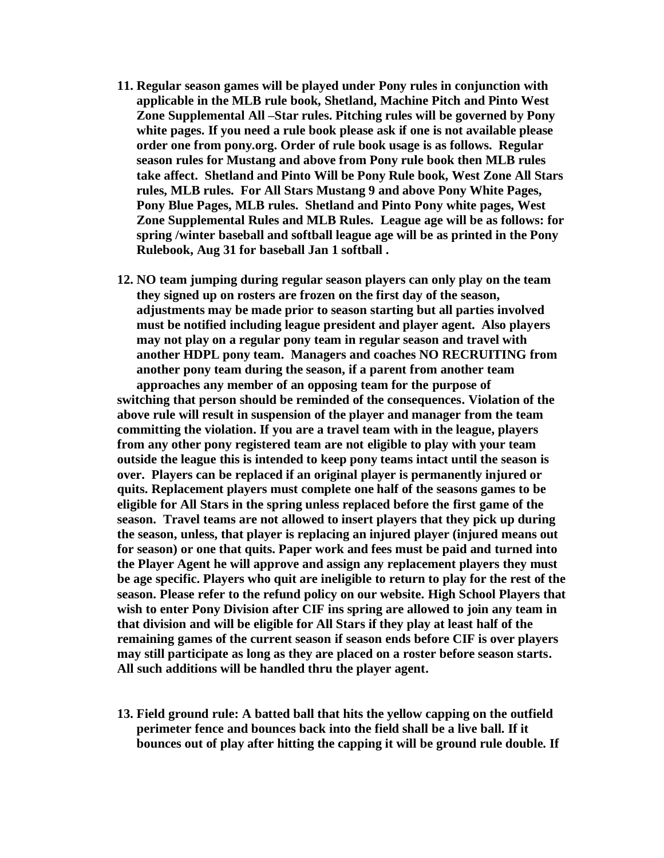- **11. Regular season games will be played under Pony rules in conjunction with applicable in the MLB rule book, Shetland, Machine Pitch and Pinto West Zone Supplemental All –Star rules. Pitching rules will be governed by Pony white pages. If you need a rule book please ask if one is not available please order one from pony.org. Order of rule book usage is as follows. Regular season rules for Mustang and above from Pony rule book then MLB rules take affect. Shetland and Pinto Will be Pony Rule book, West Zone All Stars rules, MLB rules. For All Stars Mustang 9 and above Pony White Pages, Pony Blue Pages, MLB rules. Shetland and Pinto Pony white pages, West Zone Supplemental Rules and MLB Rules. League age will be as follows: for spring /winter baseball and softball league age will be as printed in the Pony Rulebook, Aug 31 for baseball Jan 1 softball .**
- **12. NO team jumping during regular season players can only play on the team they signed up on rosters are frozen on the first day of the season, adjustments may be made prior to season starting but all parties involved must be notified including league president and player agent. Also players may not play on a regular pony team in regular season and travel with another HDPL pony team. Managers and coaches NO RECRUITING from another pony team during the season, if a parent from another team approaches any member of an opposing team for the purpose of**

**switching that person should be reminded of the consequences. Violation of the above rule will result in suspension of the player and manager from the team committing the violation. If you are a travel team with in the league, players from any other pony registered team are not eligible to play with your team outside the league this is intended to keep pony teams intact until the season is over. Players can be replaced if an original player is permanently injured or quits. Replacement players must complete one half of the seasons games to be eligible for All Stars in the spring unless replaced before the first game of the season. Travel teams are not allowed to insert players that they pick up during the season, unless, that player is replacing an injured player (injured means out for season) or one that quits. Paper work and fees must be paid and turned into the Player Agent he will approve and assign any replacement players they must be age specific. Players who quit are ineligible to return to play for the rest of the season. Please refer to the refund policy on our website. High School Players that wish to enter Pony Division after CIF ins spring are allowed to join any team in that division and will be eligible for All Stars if they play at least half of the remaining games of the current season if season ends before CIF is over players may still participate as long as they are placed on a roster before season starts. All such additions will be handled thru the player agent.**

**13. Field ground rule: A batted ball that hits the yellow capping on the outfield perimeter fence and bounces back into the field shall be a live ball. If it bounces out of play after hitting the capping it will be ground rule double. If**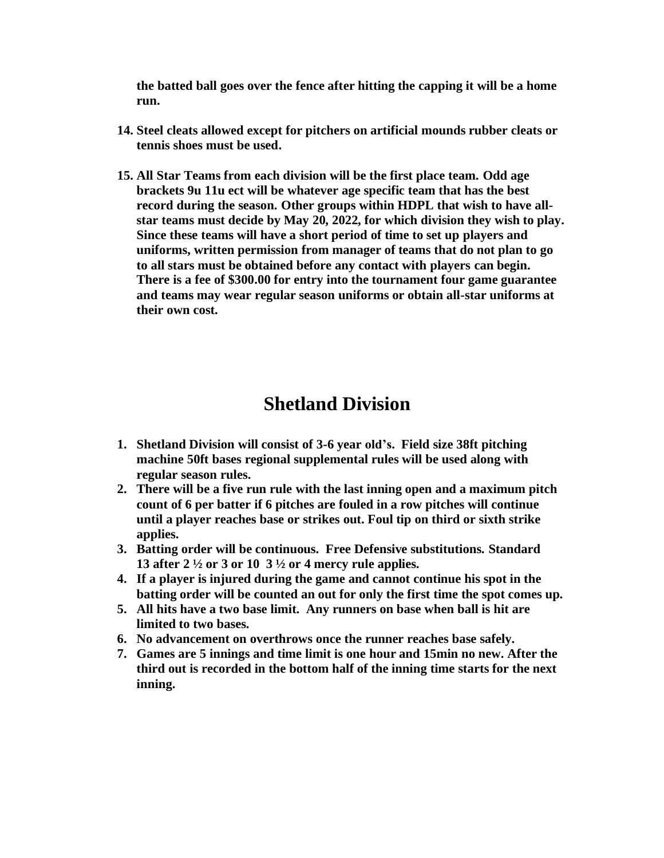**the batted ball goes over the fence after hitting the capping it will be a home run.** 

- **14. Steel cleats allowed except for pitchers on artificial mounds rubber cleats or tennis shoes must be used.**
- **15. All Star Teams from each division will be the first place team. Odd age brackets 9u 11u ect will be whatever age specific team that has the best record during the season. Other groups within HDPL that wish to have allstar teams must decide by May 20, 2022, for which division they wish to play. Since these teams will have a short period of time to set up players and uniforms, written permission from manager of teams that do not plan to go to all stars must be obtained before any contact with players can begin. There is a fee of \$300.00 for entry into the tournament four game guarantee and teams may wear regular season uniforms or obtain all-star uniforms at their own cost.**

# **Shetland Division**

- **1. Shetland Division will consist of 3-6 year old's. Field size 38ft pitching machine 50ft bases regional supplemental rules will be used along with regular season rules.**
- **2. There will be a five run rule with the last inning open and a maximum pitch count of 6 per batter if 6 pitches are fouled in a row pitches will continue until a player reaches base or strikes out. Foul tip on third or sixth strike applies.**
- **3. Batting order will be continuous. Free Defensive substitutions. Standard 13 after 2 ½ or 3 or 10 3 ½ or 4 mercy rule applies.**
- **4. If a player is injured during the game and cannot continue his spot in the batting order will be counted an out for only the first time the spot comes up.**
- **5. All hits have a two base limit. Any runners on base when ball is hit are limited to two bases.**
- **6. No advancement on overthrows once the runner reaches base safely.**
- **7. Games are 5 innings and time limit is one hour and 15min no new. After the third out is recorded in the bottom half of the inning time starts for the next inning.**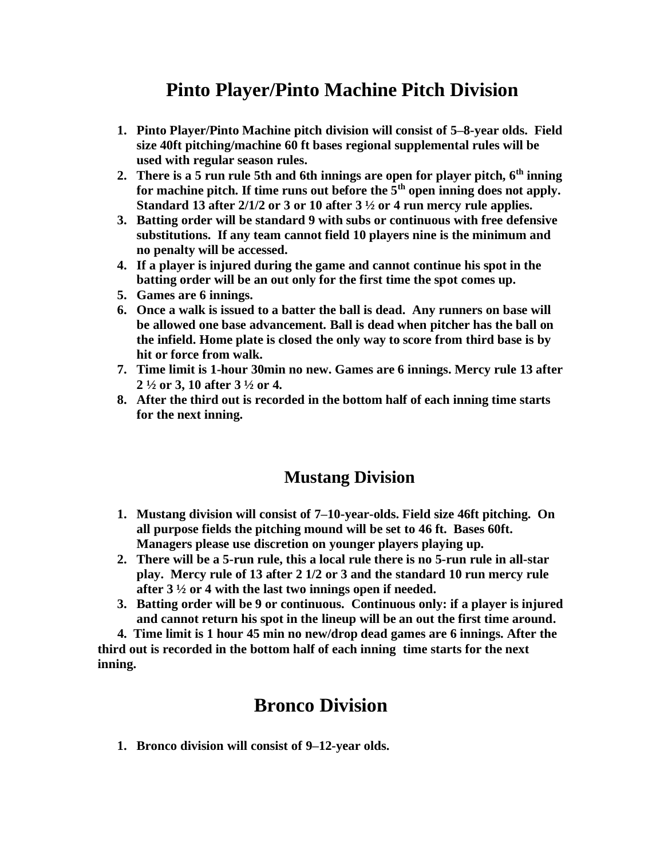# **Pinto Player/Pinto Machine Pitch Division**

- **1. Pinto Player/Pinto Machine pitch division will consist of 5–8-year olds. Field size 40ft pitching/machine 60 ft bases regional supplemental rules will be used with regular season rules.**
- **2. There is a 5 run rule 5th and 6th innings are open for player pitch, 6th inning for machine pitch. If time runs out before the 5th open inning does not apply. Standard 13 after 2/1/2 or 3 or 10 after 3 ½ or 4 run mercy rule applies.**
- **3. Batting order will be standard 9 with subs or continuous with free defensive substitutions. If any team cannot field 10 players nine is the minimum and no penalty will be accessed.**
- **4. If a player is injured during the game and cannot continue his spot in the batting order will be an out only for the first time the spot comes up.**
- **5. Games are 6 innings.**
- **6. Once a walk is issued to a batter the ball is dead. Any runners on base will be allowed one base advancement. Ball is dead when pitcher has the ball on the infield. Home plate is closed the only way to score from third base is by hit or force from walk.**
- **7. Time limit is 1-hour 30min no new. Games are 6 innings. Mercy rule 13 after 2 ½ or 3, 10 after 3 ½ or 4.**
- **8. After the third out is recorded in the bottom half of each inning time starts for the next inning.**

#### **Mustang Division**

- **1. Mustang division will consist of 7–10-year-olds. Field size 46ft pitching. On all purpose fields the pitching mound will be set to 46 ft. Bases 60ft. Managers please use discretion on younger players playing up.**
- **2. There will be a 5-run rule, this a local rule there is no 5-run rule in all-star play. Mercy rule of 13 after 2 1/2 or 3 and the standard 10 run mercy rule after 3 ½ or 4 with the last two innings open if needed.**
- **3. Batting order will be 9 or continuous. Continuous only: if a player is injured and cannot return his spot in the lineup will be an out the first time around.**

 **4. Time limit is 1 hour 45 min no new/drop dead games are 6 innings. After the third out is recorded in the bottom half of each inning time starts for the next inning.**

# **Bronco Division**

**1. Bronco division will consist of 9–12-year olds.**